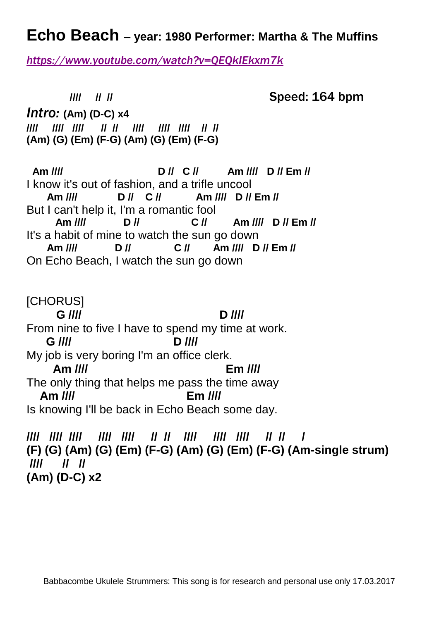## **Echo Beach – year: 1980 Performer: Martha & The Muffins**

*<https://www.youtube.com/watch?v=QEQkIEkxm7k>*

**//// // //** Speed: 164 bpm *Intro:* **(Am) (D-C) x4 //// //// //// // // //// //// //// // // (Am) (G) (Em) (F-G) (Am) (G) (Em) (F-G) Am //// D // C // Am //// D // Em //** I know it's out of fashion, and a trifle uncool **Am //// D // C // Am //// D // Em //** But I can't help it, I'm a romantic fool **Am //// D // C // Am //// D // Em //** It's a habit of mine to watch the sun go down **Am //// D // C // Am //// D // Em //** On Echo Beach, I watch the sun go down [CHORUS] **G //// D ////** From nine to five I have to spend my time at work. **G //// D ////** My job is very boring I'm an office clerk. **Am //// Em ////** The only thing that helps me pass the time away **Am //// Em ////** Is knowing I'll be back in Echo Beach some day.

**//// //// //// //// //// // // //// //// //// // // / (F) (G) (Am) (G) (Em) (F-G) (Am) (G) (Em) (F-G) (Am-single strum) //// // // (Am) (D-C) x2**